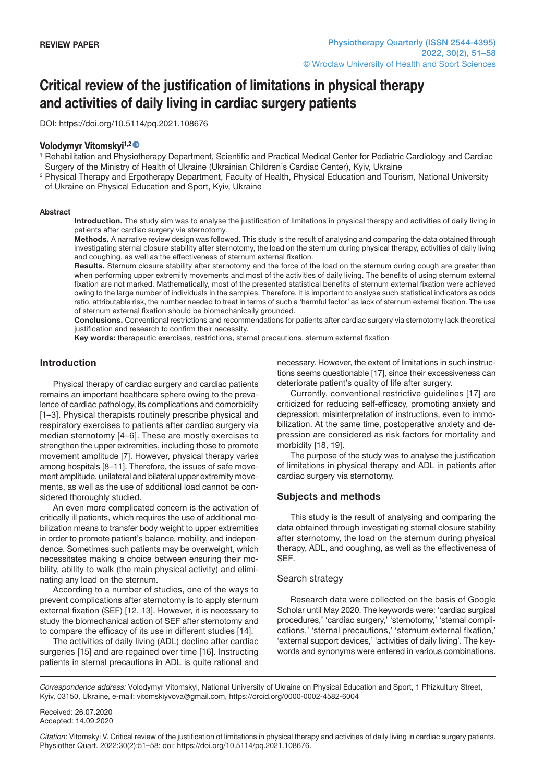# **Critical review of the justification of limitations in physical therapy and activities of daily living in cardiac surgery patients**

DOI: https://doi.org/10.5114/pq.2021.108676

## **Volodymyr Vitomskyi1,[2](https://orcid.org/0000-0002-4582-6004)**

<sup>1</sup> Rehabilitation and Physiotherapy Department, Scientific and Practical Medical Center for Pediatric Cardiology and Cardiac Surgery of the Ministry of Health of Ukraine (Ukrainian Children's Cardiac Center), Kyiv, Ukraine

<sup>2</sup> Physical Therapy and Ergotherapy Department, Faculty of Health, Physical Education and Tourism, National University of Ukraine on Physical Education and Sport, Kyiv, Ukraine

#### **Abstract**

**Introduction.** The study aim was to analyse the justification of limitations in physical therapy and activities of daily living in patients after cardiac surgery via sternotomy.

**Methods.** A narrative review design was followed. This study is the result of analysing and comparing the data obtained through investigating sternal closure stability after sternotomy, the load on the sternum during physical therapy, activities of daily living and coughing, as well as the effectiveness of sternum external fixation.

**Results.** Sternum closure stability after sternotomy and the force of the load on the sternum during cough are greater than when performing upper extremity movements and most of the activities of daily living. The benefits of using sternum external fixation are not marked. Mathematically, most of the presented statistical benefits of sternum external fixation were achieved owing to the large number of individuals in the samples. Therefore, it is important to analyse such statistical indicators as odds ratio, attributable risk, the number needed to treat in terms of such a 'harmful factor' as lack of sternum external fixation. The use of sternum external fixation should be biomechanically grounded.

**Conclusions.** Conventional restrictions and recommendations for patients after cardiac surgery via sternotomy lack theoretical justification and research to confirm their necessity.

**Key words:** therapeutic exercises, restrictions, sternal precautions, sternum external fixation

## **Introduction**

Physical therapy of cardiac surgery and cardiac patients remains an important healthcare sphere owing to the prevalence of cardiac pathology, its complications and comorbidity [1–3]. Physical therapists routinely prescribe physical and respiratory exercises to patients after cardiac surgery via median sternotomy [4–6]. These are mostly exercises to strengthen the upper extremities, including those to promote movement amplitude [7]. However, physical therapy varies among hospitals [8–11]. Therefore, the issues of safe movement amplitude, unilateral and bilateral upper extremity movements, as well as the use of additional load cannot be considered thoroughly studied.

An even more complicated concern is the activation of critically ill patients, which requires the use of additional mobilization means to transfer body weight to upper extremities in order to promote patient's balance, mobility, and independence. Sometimes such patients may be overweight, which necessitates making a choice between ensuring their mobility, ability to walk (the main physical activity) and eliminating any load on the sternum.

According to a number of studies, one of the ways to prevent complications after sternotomy is to apply sternum external fixation (SEF) [12, 13]. However, it is necessary to study the biomechanical action of SEF after sternotomy and to compare the efficacy of its use in different studies [14].

The activities of daily living (ADL) decline after cardiac surgeries [15] and are regained over time [16]. Instructing patients in sternal precautions in ADL is quite rational and necessary. However, the extent of limitations in such instructions seems questionable [17], since their excessiveness can deteriorate patient's quality of life after surgery.

Currently, conventional restrictive guidelines [17] are criticized for reducing self-efficacy, promoting anxiety and depression, misinterpretation of instructions, even to immobilization. At the same time, postoperative anxiety and depression are considered as risk factors for mortality and morbidity [18, 19].

The purpose of the study was to analyse the justification of limitations in physical therapy and ADL in patients after cardiac surgery via sternotomy.

#### **Subjects and methods**

This study is the result of analysing and comparing the data obtained through investigating sternal closure stability after sternotomy, the load on the sternum during physical therapy, ADL, and coughing, as well as the effectiveness of SEF.

#### Search strategy

Research data were collected on the basis of Google Scholar until May 2020. The keywords were: 'cardiac surgical procedures,' 'cardiac surgery,' 'sternotomy,' 'sternal complications,' 'sternal precautions,' 'sternum external fixation,' 'external support devices,' 'activities of daily living'. The keywords and synonyms were entered in various combinations.

*Correspondence address:* Volodymyr Vitomskyi, National University of Ukraine on Physical Education and Sport, 1 Phizkultury Street, Kyiv, 03150, Ukraine, e-mail: vitomskiyvova@gmail.com, https://orcid.org/0000-0002-4582-6004

Received: 26.07.2020 Accepted: 14.09.2020

*Citation*: Vitomskyi V. Critical review of the justification of limitations in physical therapy and activities of daily living in cardiac surgery patients. Physiother Quart. 2022;30(2):51–58; doi: https://doi.org/10.5114/pq.2021.108676.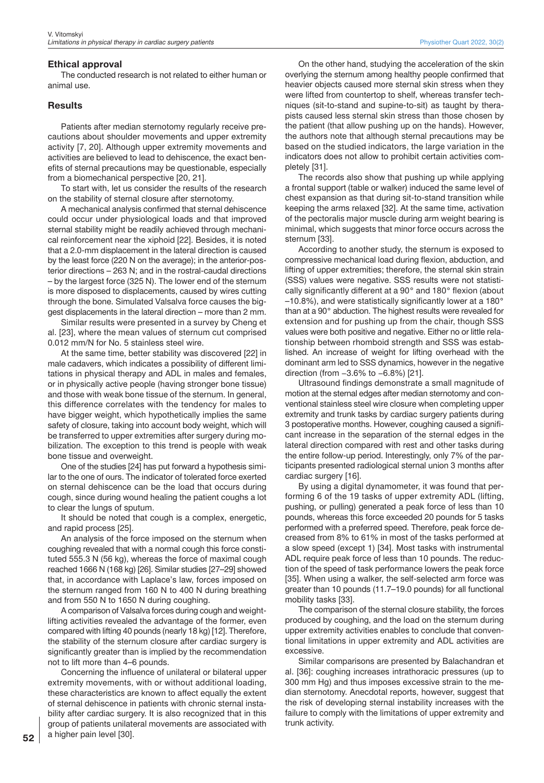## **Ethical approval**

The conducted research is not related to either human or animal use.

## **Results**

Patients after median sternotomy regularly receive precautions about shoulder movements and upper extremity activity [7, 20]. Although upper extremity movements and activities are believed to lead to dehiscence, the exact benefits of sternal precautions may be questionable, especially from a biomechanical perspective [20, 21].

To start with, let us consider the results of the research on the stability of sternal closure after sternotomy.

A mechanical analysis confirmed that sternal dehiscence could occur under physiological loads and that improved sternal stability might be readily achieved through mechanical reinforcement near the xiphoid [22]. Besides, it is noted that a 2.0-mm displacement in the lateral direction is caused by the least force (220 N on the average); in the anterior-posterior directions – 263 N; and in the rostral-caudal directions – by the largest force (325 N). The lower end of the sternum is more disposed to displacements, caused by wires cutting through the bone. Simulated Valsalva force causes the biggest displacements in the lateral direction – more than 2 mm.

Similar results were presented in a survey by Cheng et al. [23], where the mean values of sternum cut comprised 0.012 mm/N for No. 5 stainless steel wire.

At the same time, better stability was discovered [22] in male cadavers, which indicates a possibility of different limitations in physical therapy and ADL in males and females, or in physically active people (having stronger bone tissue) and those with weak bone tissue of the sternum. In general, this difference correlates with the tendency for males to have bigger weight, which hypothetically implies the same safety of closure, taking into account body weight, which will be transferred to upper extremities after surgery during mobilization. The exception to this trend is people with weak bone tissue and overweight.

One of the studies [24] has put forward a hypothesis similar to the one of ours. The indicator of tolerated force exerted on sternal dehiscence can be the load that occurs during cough, since during wound healing the patient coughs a lot to clear the lungs of sputum.

It should be noted that cough is a complex, energetic, and rapid process [25].

An analysis of the force imposed on the sternum when coughing revealed that with a normal cough this force constituted 555.3 N (56 kg), whereas the force of maximal cough reached 1666 N (168 kg) [26]. Similar studies [27–29] showed that, in accordance with Laplace's law, forces imposed on the sternum ranged from 160 N to 400 N during breathing and from 550 N to 1650 N during coughing.

A comparison of Valsalva forces during cough and weightlifting activities revealed the advantage of the former, even compared with lifting 40 pounds (nearly 18 kg) [12]. Therefore, the stability of the sternum closure after cardiac surgery is significantly greater than is implied by the recommendation not to lift more than 4–6 pounds.

Concerning the influence of unilateral or bilateral upper extremity movements, with or without additional loading, these characteristics are known to affect equally the extent of sternal dehiscence in patients with chronic sternal instability after cardiac surgery. It is also recognized that in this group of patients unilateral movements are associated with a higher pain level [30].

On the other hand, studying the acceleration of the skin overlying the sternum among healthy people confirmed that heavier objects caused more sternal skin stress when they were lifted from countertop to shelf, whereas transfer techniques (sit-to-stand and supine-to-sit) as taught by therapists caused less sternal skin stress than those chosen by the patient (that allow pushing up on the hands). However, the authors note that although sternal precautions may be based on the studied indicators, the large variation in the indicators does not allow to prohibit certain activities completely [31].

The records also show that pushing up while applying a frontal support (table or walker) induced the same level of chest expansion as that during sit-to-stand transition while keeping the arms relaxed [32]. At the same time, activation of the pectoralis major muscle during arm weight bearing is minimal, which suggests that minor force occurs across the sternum [33].

According to another study, the sternum is exposed to compressive mechanical load during flexion, abduction, and lifting of upper extremities; therefore, the sternal skin strain (SSS) values were negative. SSS results were not statistically significantly different at a 90° and 180° flexion (about  $-10.8\%$ ), and were statistically significantly lower at a 180 $^{\circ}$ than at a 90° abduction. The highest results were revealed for extension and for pushing up from the chair, though SSS values were both positive and negative. Either no or little relationship between rhomboid strength and SSS was established. An increase of weight for lifting overhead with the dominant arm led to SSS dynamics, however in the negative direction (from −3.6% to −6.8%) [21].

Ultrasound findings demonstrate a small magnitude of motion at the sternal edges after median sternotomy and conventional stainless steel wire closure when completing upper extremity and trunk tasks by cardiac surgery patients during 3 postoperative months. However, coughing caused a significant increase in the separation of the sternal edges in the lateral direction compared with rest and other tasks during the entire follow-up period. Interestingly, only 7% of the participants presented radiological sternal union 3 months after cardiac surgery [16].

By using a digital dynamometer, it was found that performing 6 of the 19 tasks of upper extremity ADL (lifting, pushing, or pulling) generated a peak force of less than 10 pounds, whereas this force exceeded 20 pounds for 5 tasks performed with a preferred speed. Therefore, peak force decreased from 8% to 61% in most of the tasks performed at a slow speed (except 1) [34]. Most tasks with instrumental ADL require peak force of less than 10 pounds. The reduction of the speed of task performance lowers the peak force [35]. When using a walker, the self-selected arm force was greater than 10 pounds (11.7–19.0 pounds) for all functional mobility tasks [33].

The comparison of the sternal closure stability, the forces produced by coughing, and the load on the sternum during upper extremity activities enables to conclude that conventional limitations in upper extremity and ADL activities are excessive.

Similar comparisons are presented by Balachandran et al. [36]: coughing increases intrathoracic pressures (up to 300 mm Hg) and thus imposes excessive strain to the median sternotomy. Anecdotal reports, however, suggest that the risk of developing sternal instability increases with the failure to comply with the limitations of upper extremity and trunk activity.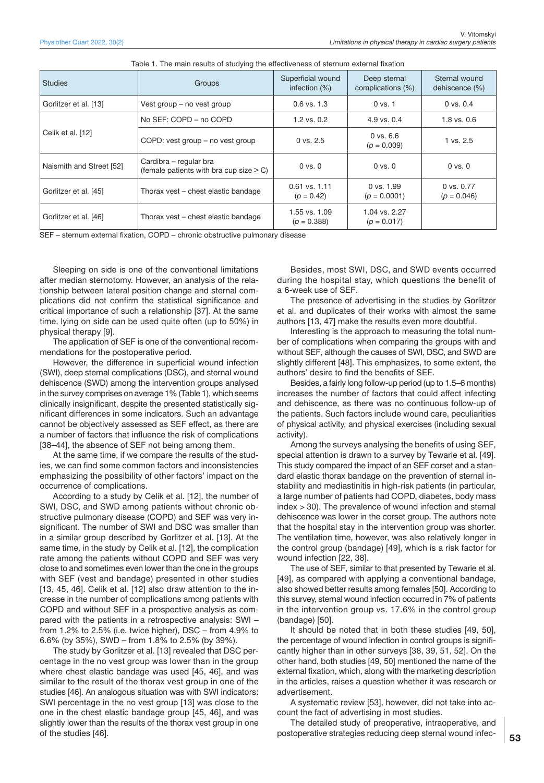| Studies                  | Groups                                                                 | Superficial wound<br>infection $(\%)$ | Deep sternal<br>complications (%) | Sternal wound<br>dehiscence (%) |
|--------------------------|------------------------------------------------------------------------|---------------------------------------|-----------------------------------|---------------------------------|
| Gorlitzer et al. [13]    | Vest group – no vest group                                             | $0.6$ vs. $1.3$                       | $0$ vs. $1$                       | $0$ vs. $0.4$                   |
| Celik et al. [12]        | No SEF: COPD - no COPD                                                 | $1.2$ vs. $0.2$                       | 4.9 vs. 0.4                       | $1.8$ vs. $0.6$                 |
|                          | COPD: vest group – no vest group                                       | $0$ vs. $2.5$                         | $0$ vs. $6.6$<br>$(p = 0.009)$    | 1 vs. 2.5                       |
| Naismith and Street [52] | Cardibra – regular bra<br>(female patients with bra cup size $\geq$ C) | $0$ vs. $0$                           | $0$ vs. $0$                       | $0$ vs. $0$                     |
| Gorlitzer et al. [45]    | Thorax vest - chest elastic bandage                                    | $0.61$ vs. 1.11<br>$(p = 0.42)$       | $0$ vs. $1.99$<br>$(p = 0.0001)$  | $0$ vs. $0.77$<br>$(p = 0.046)$ |
| Gorlitzer et al. [46]    | Thorax vest – chest elastic bandage                                    | 1.55 vs. 1.09<br>$(p = 0.388)$        | 1.04 vs. 2.27<br>$(p = 0.017)$    |                                 |

| Table 1. The main results of studying the effectiveness of sternum external fixation |  |
|--------------------------------------------------------------------------------------|--|
|--------------------------------------------------------------------------------------|--|

SEF – sternum external fixation, COPD – chronic obstructive pulmonary disease

Sleeping on side is one of the conventional limitations after median sternotomy. However, an analysis of the relationship between lateral position change and sternal complications did not confirm the statistical significance and critical importance of such a relationship [37]. At the same time, lying on side can be used quite often (up to 50%) in physical therapy [9].

The application of SEF is one of the conventional recommendations for the postoperative period.

However, the difference in superficial wound infection (SWI), deep sternal complications (DSC), and sternal wound dehiscence (SWD) among the intervention groups analysed in the survey comprises on average 1% (Table 1), which seems clinically insignificant, despite the presented statistically significant differences in some indicators. Such an advantage cannot be objectively assessed as SEF effect, as there are a number of factors that influence the risk of complications [38–44], the absence of SEF not being among them.

At the same time, if we compare the results of the studies, we can find some common factors and inconsistencies emphasizing the possibility of other factors' impact on the occurrence of complications.

According to a study by Celik et al. [12], the number of SWI, DSC, and SWD among patients without chronic obstructive pulmonary disease (COPD) and SEF was very insignificant. The number of SWI and DSC was smaller than in a similar group described by Gorlitzer et al. [13]. At the same time, in the study by Celik et al. [12], the complication rate among the patients without COPD and SEF was very close to and sometimes even lower than the one in the groups with SEF (vest and bandage) presented in other studies [13, 45, 46]. Celik et al. [12] also draw attention to the increase in the number of complications among patients with COPD and without SEF in a prospective analysis as compared with the patients in a retrospective analysis: SWI – from 1.2% to 2.5% (i.e. twice higher), DSC – from 4.9% to 6.6% (by 35%), SWD – from 1.8% to 2.5% (by 39%).

The study by Gorlitzer et al. [13] revealed that DSC percentage in the no vest group was lower than in the group where chest elastic bandage was used [45, 46], and was similar to the result of the thorax vest group in one of the studies [46]. An analogous situation was with SWI indicators: SWI percentage in the no vest group [13] was close to the one in the chest elastic bandage group [45, 46], and was slightly lower than the results of the thorax vest group in one of the studies [46].

Besides, most SWI, DSC, and SWD events occurred during the hospital stay, which questions the benefit of a 6-week use of SEF.

The presence of advertising in the studies by Gorlitzer et al. and duplicates of their works with almost the same authors [13, 47] make the results even more doubtful.

Interesting is the approach to measuring the total number of complications when comparing the groups with and without SEF, although the causes of SWI, DSC, and SWD are slightly different [48]. This emphasizes, to some extent, the authors' desire to find the benefits of SEF.

Besides, a fairly long follow-up period (up to 1.5–6 months) increases the number of factors that could affect infecting and dehiscence, as there was no continuous follow-up of the patients. Such factors include wound care, peculiarities of physical activity, and physical exercises (including sexual activity).

Among the surveys analysing the benefits of using SEF, special attention is drawn to a survey by Tewarie et al. [49]. This study compared the impact of an SEF corset and a standard elastic thorax bandage on the prevention of sternal instability and mediastinitis in high-risk patients (in particular, a large number of patients had COPD, diabetes, body mass index > 30). The prevalence of wound infection and sternal dehiscence was lower in the corset group. The authors note that the hospital stay in the intervention group was shorter. The ventilation time, however, was also relatively longer in the control group (bandage) [49], which is a risk factor for wound infection [22, 38].

The use of SEF, similar to that presented by Tewarie et al. [49], as compared with applying a conventional bandage, also showed better results among females [50]. According to this survey, sternal wound infection occurred in 7% of patients in the intervention group vs. 17.6% in the control group (bandage) [50].

It should be noted that in both these studies [49, 50], the percentage of wound infection in control groups is significantly higher than in other surveys [38, 39, 51, 52]. On the other hand, both studies [49, 50] mentioned the name of the external fixation, which, along with the marketing description in the articles, raises a question whether it was research or advertisement.

A systematic review [53], however, did not take into account the fact of advertising in most studies.

The detailed study of preoperative, intraoperative, and postoperative strategies reducing deep sternal wound infec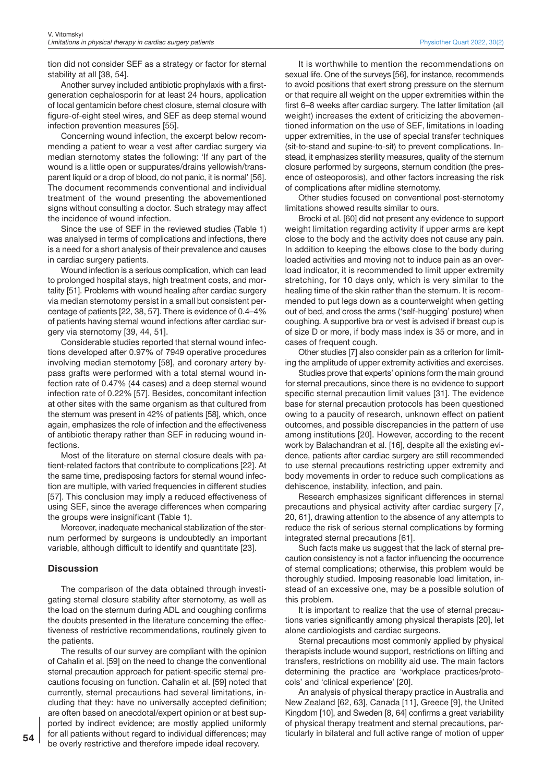tion did not consider SEF as a strategy or factor for sternal stability at all [38, 54].

Another survey included antibiotic prophylaxis with a firstgeneration cephalosporin for at least 24 hours, application of local gentamicin before chest closure, sternal closure with figure-of-eight steel wires, and SEF as deep sternal wound infection prevention measures [55].

Concerning wound infection, the excerpt below recommending a patient to wear a vest after cardiac surgery via median sternotomy states the following: 'If any part of the wound is a little open or suppurates/drains yellowish/transparent liquid or a drop of blood, do not panic, it is normal' [56]. The document recommends conventional and individual treatment of the wound presenting the abovementioned signs without consulting a doctor. Such strategy may affect the incidence of wound infection.

Since the use of SEF in the reviewed studies (Table 1) was analysed in terms of complications and infections, there is a need for a short analysis of their prevalence and causes in cardiac surgery patients.

Wound infection is a serious complication, which can lead to prolonged hospital stays, high treatment costs, and mortality [51]. Problems with wound healing after cardiac surgery via median sternotomy persist in a small but consistent percentage of patients [22, 38, 57]. There is evidence of 0.4–4% of patients having sternal wound infections after cardiac surgery via sternotomy [39, 44, 51].

Considerable studies reported that sternal wound infections developed after 0.97% of 7949 operative procedures involving median sternotomy [58], and coronary artery bypass grafts were performed with a total sternal wound infection rate of 0.47% (44 cases) and a deep sternal wound infection rate of 0.22% [57]. Besides, concomitant infection at other sites with the same organism as that cultured from the sternum was present in 42% of patients [58], which, once again, emphasizes the role of infection and the effectiveness of antibiotic therapy rather than SEF in reducing wound infections.

Most of the literature on sternal closure deals with patient-related factors that contribute to complications [22]. At the same time, predisposing factors for sternal wound infection are multiple, with varied frequencies in different studies [57]. This conclusion may imply a reduced effectiveness of using SEF, since the average differences when comparing the groups were insignificant (Table 1).

Moreover, inadequate mechanical stabilization of the sternum performed by surgeons is undoubtedly an important variable, although difficult to identify and quantitate [23].

#### **Discussion**

The comparison of the data obtained through investigating sternal closure stability after sternotomy, as well as the load on the sternum during ADL and coughing confirms the doubts presented in the literature concerning the effectiveness of restrictive recommendations, routinely given to the patients.

The results of our survey are compliant with the opinion of Cahalin et al. [59] on the need to change the conventional sternal precaution approach for patient-specific sternal precautions focusing on function. Cahalin et al. [59] noted that currently, sternal precautions had several limitations, including that they: have no universally accepted definition; are often based on anecdotal/expert opinion or at best supported by indirect evidence; are mostly applied uniformly for all patients without regard to individual differences; may be overly restrictive and therefore impede ideal recovery.

It is worthwhile to mention the recommendations on sexual life. One of the surveys [56], for instance, recommends to avoid positions that exert strong pressure on the sternum or that require all weight on the upper extremities within the first 6–8 weeks after cardiac surgery. The latter limitation (all weight) increases the extent of criticizing the abovementioned information on the use of SEF, limitations in loading upper extremities, in the use of special transfer techniques (sit-to-stand and supine-to-sit) to prevent complications. Instead, it emphasizes sterility measures, quality of the sternum closure performed by surgeons, sternum condition (the presence of osteoporosis), and other factors increasing the risk of complications after midline sternotomy.

Other studies focused on conventional post-sternotomy limitations showed results similar to ours.

Brocki et al. [60] did not present any evidence to support weight limitation regarding activity if upper arms are kept close to the body and the activity does not cause any pain. In addition to keeping the elbows close to the body during loaded activities and moving not to induce pain as an overload indicator, it is recommended to limit upper extremity stretching, for 10 days only, which is very similar to the healing time of the skin rather than the sternum. It is recommended to put legs down as a counterweight when getting out of bed, and cross the arms ('self-hugging' posture) when coughing. A supportive bra or vest is advised if breast cup is of size D or more, if body mass index is 35 or more, and in cases of frequent cough.

Other studies [7] also consider pain as a criterion for limiting the amplitude of upper extremity activities and exercises.

Studies prove that experts' opinions form the main ground for sternal precautions, since there is no evidence to support specific sternal precaution limit values [31]. The evidence base for sternal precaution protocols has been questioned owing to a paucity of research, unknown effect on patient outcomes, and possible discrepancies in the pattern of use among institutions [20]. However, according to the recent work by Balachandran et al. [16], despite all the existing evidence, patients after cardiac surgery are still recommended to use sternal precautions restricting upper extremity and body movements in order to reduce such complications as dehiscence, instability, infection, and pain.

Research emphasizes significant differences in sternal precautions and physical activity after cardiac surgery [7, 20, 61], drawing attention to the absence of any attempts to reduce the risk of serious sternal complications by forming integrated sternal precautions [61].

Such facts make us suggest that the lack of sternal precaution consistency is not a factor influencing the occurrence of sternal complications; otherwise, this problem would be thoroughly studied. Imposing reasonable load limitation, instead of an excessive one, may be a possible solution of this problem.

It is important to realize that the use of sternal precautions varies significantly among physical therapists [20], let alone cardiologists and cardiac surgeons.

Sternal precautions most commonly applied by physical therapists include wound support, restrictions on lifting and transfers, restrictions on mobility aid use. The main factors determining the practice are 'workplace practices/protocols' and 'clinical experience' [20].

An analysis of physical therapy practice in Australia and New Zealand [62, 63], Canada [11], Greece [9], the United Kingdom [10], and Sweden [8, 64] confirms a great variability of physical therapy treatment and sternal precautions, particularly in bilateral and full active range of motion of upper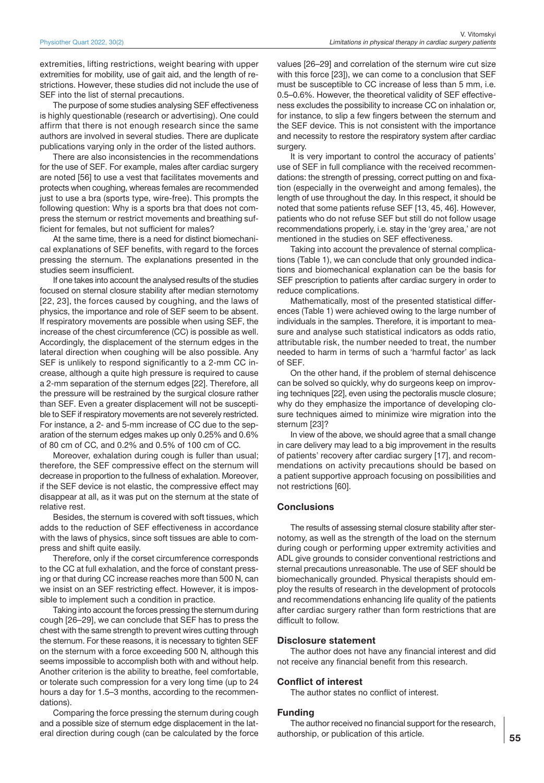extremities, lifting restrictions, weight bearing with upper extremities for mobility, use of gait aid, and the length of restrictions. However, these studies did not include the use of SEF into the list of sternal precautions.

The purpose of some studies analysing SEF effectiveness is highly questionable (research or advertising). One could affirm that there is not enough research since the same authors are involved in several studies. There are duplicate publications varying only in the order of the listed authors.

There are also inconsistencies in the recommendations for the use of SEF. For example, males after cardiac surgery are noted [56] to use a vest that facilitates movements and protects when coughing, whereas females are recommended just to use a bra (sports type, wire-free). This prompts the following question: Why is a sports bra that does not compress the sternum or restrict movements and breathing sufficient for females, but not sufficient for males?

At the same time, there is a need for distinct biomechanical explanations of SEF benefits, with regard to the forces pressing the sternum. The explanations presented in the studies seem insufficient.

If one takes into account the analysed results of the studies focused on sternal closure stability after median sternotomy [22, 23], the forces caused by coughing, and the laws of physics, the importance and role of SEF seem to be absent. If respiratory movements are possible when using SEF, the increase of the chest circumference (CC) is possible as well. Accordingly, the displacement of the sternum edges in the lateral direction when coughing will be also possible. Any SEF is unlikely to respond significantly to a 2-mm CC increase, although a quite high pressure is required to cause a 2-mm separation of the sternum edges [22]. Therefore, all the pressure will be restrained by the surgical closure rather than SEF. Even a greater displacement will not be susceptible to SEF if respiratory movements are not severely restricted. For instance, a 2- and 5-mm increase of CC due to the separation of the sternum edges makes up only 0.25% and 0.6% of 80 cm of CC, and 0.2% and 0.5% of 100 cm of CC.

Moreover, exhalation during cough is fuller than usual; therefore, the SEF compressive effect on the sternum will decrease in proportion to the fullness of exhalation. Moreover, if the SEF device is not elastic, the compressive effect may disappear at all, as it was put on the sternum at the state of relative rest.

Besides, the sternum is covered with soft tissues, which adds to the reduction of SEF effectiveness in accordance with the laws of physics, since soft tissues are able to compress and shift quite easily.

Therefore, only if the corset circumference corresponds to the CC at full exhalation, and the force of constant pressing or that during CC increase reaches more than 500 N, can we insist on an SEF restricting effect. However, it is impossible to implement such a condition in practice.

Taking into account the forces pressing the sternum during cough [26–29], we can conclude that SEF has to press the chest with the same strength to prevent wires cutting through the sternum. For these reasons, it is necessary to tighten SEF on the sternum with a force exceeding 500 N, although this seems impossible to accomplish both with and without help. Another criterion is the ability to breathe, feel comfortable, or tolerate such compression for a very long time (up to 24 hours a day for 1.5–3 months, according to the recommendations).

Comparing the force pressing the sternum during cough and a possible size of sternum edge displacement in the lateral direction during cough (can be calculated by the force

values [26–29] and correlation of the sternum wire cut size with this force [23]), we can come to a conclusion that SEF must be susceptible to CC increase of less than 5 mm, i.e. 0.5–0.6%. However, the theoretical validity of SEF effectiveness excludes the possibility to increase CC on inhalation or, for instance, to slip a few fingers between the sternum and the SEF device. This is not consistent with the importance and necessity to restore the respiratory system after cardiac surgery.

It is very important to control the accuracy of patients' use of SEF in full compliance with the received recommendations: the strength of pressing, correct putting on and fixation (especially in the overweight and among females), the length of use throughout the day. In this respect, it should be noted that some patients refuse SEF [13, 45, 46]. However, patients who do not refuse SEF but still do not follow usage recommendations properly, i.e. stay in the 'grey area,' are not mentioned in the studies on SEF effectiveness.

Taking into account the prevalence of sternal complications (Table 1), we can conclude that only grounded indications and biomechanical explanation can be the basis for SEF prescription to patients after cardiac surgery in order to reduce complications.

Mathematically, most of the presented statistical differences (Table 1) were achieved owing to the large number of individuals in the samples. Therefore, it is important to measure and analyse such statistical indicators as odds ratio, attributable risk, the number needed to treat, the number needed to harm in terms of such a 'harmful factor' as lack of SEF.

On the other hand, if the problem of sternal dehiscence can be solved so quickly, why do surgeons keep on improving techniques [22], even using the pectoralis muscle closure; why do they emphasize the importance of developing closure techniques aimed to minimize wire migration into the sternum [23]?

In view of the above, we should agree that a small change in care delivery may lead to a big improvement in the results of patients' recovery after cardiac surgery [17], and recommendations on activity precautions should be based on a patient supportive approach focusing on possibilities and not restrictions [60].

## **Conclusions**

The results of assessing sternal closure stability after sternotomy, as well as the strength of the load on the sternum during cough or performing upper extremity activities and ADL give grounds to consider conventional restrictions and sternal precautions unreasonable. The use of SEF should be biomechanically grounded. Physical therapists should employ the results of research in the development of protocols and recommendations enhancing life quality of the patients after cardiac surgery rather than form restrictions that are difficult to follow.

#### **Disclosure statement**

The author does not have any financial interest and did not receive any financial benefit from this research.

#### **Conflict of interest**

The author states no conflict of interest.

#### **Funding**

The author received no financial support for the research, authorship, or publication of this article.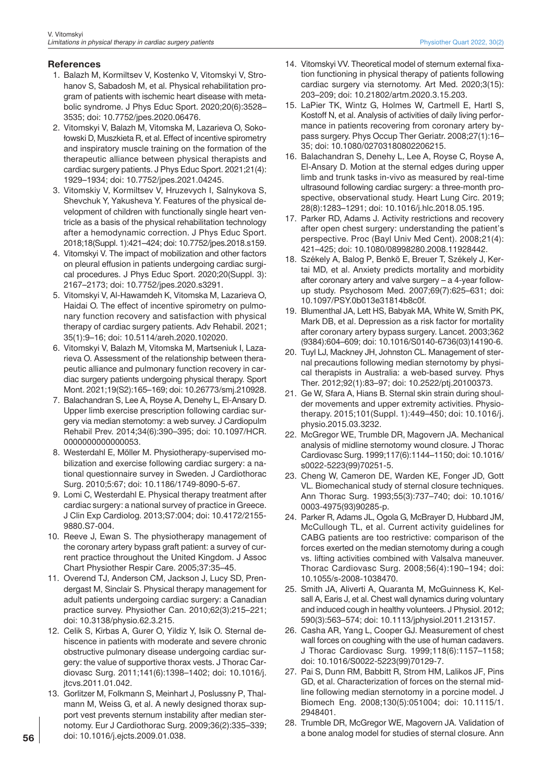## **References**

- 1. Balazh M, Kormiltsev V, Kostenko V, Vitomskyi V, Strohanov S, Sabadosh M, et al. Physical rehabilitation program of patients with ischemic heart disease with metabolic syndrome. J Phys Educ Sport. 2020;20(6):3528– 3535; doi: 10.7752/jpes.2020.06476.
- 2. Vitomskyi V, Balazh M, Vitomska M, Lazarieva O, Sokołowski D, Muszkieta R, et al. Effect of incentive spirometry and inspiratory muscle training on the formation of the therapeutic alliance between physical therapists and cardiac surgery patients. J Phys Educ Sport. 2021;21(4): 1929–1934; doi: 10.7752/jpes.2021.04245.
- 3. Vitomskiy V, Kormiltsev V, Hruzevych I, Salnykova S, Shevchuk Y, Yakusheva Y. Features of the physical development of children with functionally single heart ventricle as a basis of the physical rehabilitation technology after a hemodynamic correction. J Phys Educ Sport. 2018;18(Suppl. 1):421–424; doi: 10.7752/jpes.2018.s159.
- 4. Vitomskyi V. The impact of mobilization and other factors on pleural effusion in patients undergoing cardiac surgical procedures. J Phys Educ Sport. 2020;20(Suppl. 3): 2167–2173; doi: 10.7752/jpes.2020.s3291.
- 5. Vitomskyi V, Al-Hawamdeh K, Vitomska M, Lazarieva O, Haidai O. The effect of incentive spirometry on pulmonary function recovery and satisfaction with physical therapy of cardiac surgery patients. Adv Rehabil. 2021; 35(1):9–16; doi: 10.5114/areh.2020.102020.
- 6. Vitomskyi V, Balazh M, Vitomska M, Martseniuk I, Lazarieva O. Assessment of the relationship between therapeutic alliance and pulmonary function recovery in cardiac surgery patients undergoing physical therapy. Sport Mont. 2021;19(S2):165–169; doi: 10.26773/smj.210928.
- 7. Balachandran S, Lee A, Royse A, Denehy L, El-Ansary D. Upper limb exercise prescription following cardiac surgery via median sternotomy: a web survey. J Cardiopulm Rehabil Prev. 2014;34(6):390–395; doi: 10.1097/HCR. 0000000000000053.
- 8. Westerdahl E, Möller M. Physiotherapy-supervised mobilization and exercise following cardiac surgery: a national questionnaire survey in Sweden. J Cardiothorac Surg. 2010;5:67; doi: 10.1186/1749-8090-5-67.
- 9. Lomi C, Westerdahl E. Physical therapy treatment after cardiac surgery: a national survey of practice in Greece. J Clin Exp Cardiolog. 2013;S7:004; doi: 10.4172/2155- 9880.S7-004.
- 10. Reeve J, Ewan S. The physiotherapy management of the coronary artery bypass graft patient: a survey of current practice throughout the United Kingdom. J Assoc Chart Physiother Respir Care. 2005;37:35–45.
- 11. Overend TJ, Anderson CM, Jackson J, Lucy SD, Prendergast M, Sinclair S. Physical therapy management for adult patients undergoing cardiac surgery: a Canadian practice survey. Physiother Can. 2010;62(3):215–221; doi: 10.3138/physio.62.3.215.
- 12. Celik S, Kirbas A, Gurer O, Yildiz Y, Isik O. Sternal dehiscence in patients with moderate and severe chronic obstructive pulmonary disease undergoing cardiac surgery: the value of supportive thorax vests. J Thorac Cardiovasc Surg. 2011;141(6):1398–1402; doi: 10.1016/j. jtcvs.2011.01.042.
- 13. Gorlitzer M, Folkmann S, Meinhart J, Poslussny P, Thalmann M, Weiss G, et al. A newly designed thorax support vest prevents sternum instability after median sternotomy. Eur J Cardiothorac Surg. 2009;36(2):335–339; doi: 10.1016/j.ejcts.2009.01.038.
- 14. Vitomskyi VV. Theoretical model of sternum external fixation functioning in physical therapy of patients following cardiac surgery via sternotomy. Art Med. 2020;3(15): 203–209; doi: 10.21802/artm.2020.3.15.203.
- 15. LaPier TK, Wintz G, Holmes W, Cartmell E, Hartl S, Kostoff N, et al. Analysis of activities of daily living performance in patients recovering from coronary artery bypass surgery. Phys Occup Ther Geriatr. 2008;27(1):16– 35; doi: 10.1080/02703180802206215.
- 16. Balachandran S, Denehy L, Lee A, Royse C, Royse A, El-Ansary D. Motion at the sternal edges during upper limb and trunk tasks in-vivo as measured by real-time ultrasound following cardiac surgery: a three-month prospective, observational study. Heart Lung Circ. 2019; 28(8):1283–1291; doi: 10.1016/j.hlc.2018.05.195.
- 17. Parker RD, Adams J. Activity restrictions and recovery after open chest surgery: understanding the patient's perspective. Proc (Bayl Univ Med Cent). 2008;21(4): 421–425; doi: 10.1080/08998280.2008.11928442.
- 18. Székely A, Balog P, Benkö E, Breuer T, Székely J, Kertai MD, et al. Anxiety predicts mortality and morbidity after coronary artery and valve surgery – a 4-year followup study. Psychosom Med. 2007;69(7):625–631; doi: 10.1097/PSY.0b013e31814b8c0f.
- 19. Blumenthal JA, Lett HS, Babyak MA, White W, Smith PK, Mark DB, et al. Depression as a risk factor for mortality after coronary artery bypass surgery. Lancet. 2003;362 (9384):604–609; doi: 10.1016/S0140-6736(03)14190-6.
- 20. Tuyl LJ, Mackney JH, Johnston CL. Management of sternal precautions following median sternotomy by physical therapists in Australia: a web-based survey. Phys Ther. 2012;92(1):83–97; doi: 10.2522/ptj.20100373.
- 21. Ge W, Sfara A, Hians B. Sternal skin strain during shoulder movements and upper extremity activities. Physiotherapy. 2015;101(Suppl. 1):449–450; doi: 10.1016/j. physio.2015.03.3232.
- 22. McGregor WE, Trumble DR, Magovern JA. Mechanical analysis of midline sternotomy wound closure. J Thorac Cardiovasc Surg. 1999;117(6):1144–1150; doi: 10.1016/ s0022-5223(99)70251-5.
- 23. Cheng W, Cameron DE, Warden KE, Fonger JD, Gott VL. Biomechanical study of sternal closure techniques. Ann Thorac Surg. 1993;55(3):737–740; doi: 10.1016/ 0003-4975(93)90285-p.
- 24. Parker R, Adams JL, Ogola G, McBrayer D, Hubbard JM, McCullough TL, et al. Current activity guidelines for CABG patients are too restrictive: comparison of the forces exerted on the median sternotomy during a cough vs. lifting activities combined with Valsalva maneuver. Thorac Cardiovasc Surg. 2008;56(4):190–194; doi: 10.1055/s-2008-1038470.
- 25. Smith JA, Aliverti A, Quaranta M, McGuinness K, Kelsall A, Earis J, et al. Chest wall dynamics during voluntary and induced cough in healthy volunteers. J Physiol. 2012; 590(3):563–574; doi: 10.1113/jphysiol.2011.213157.
- 26. Casha AR, Yang L, Cooper GJ. Measurement of chest wall forces on coughing with the use of human cadavers. J Thorac Cardiovasc Surg. 1999;118(6):1157–1158; doi: 10.1016/S0022-5223(99)70129-7.
- 27. Pai S, Dunn RM, Babbitt R, Strom HM, Lalikos JF, Pins GD, et al. Characterization of forces on the sternal midline following median sternotomy in a porcine model. J Biomech Eng. 2008;130(5):051004; doi: 10.1115/1. 2948401.
- 28. Trumble DR, McGregor WE, Magovern JA. Validation of a bone analog model for studies of sternal closure. Ann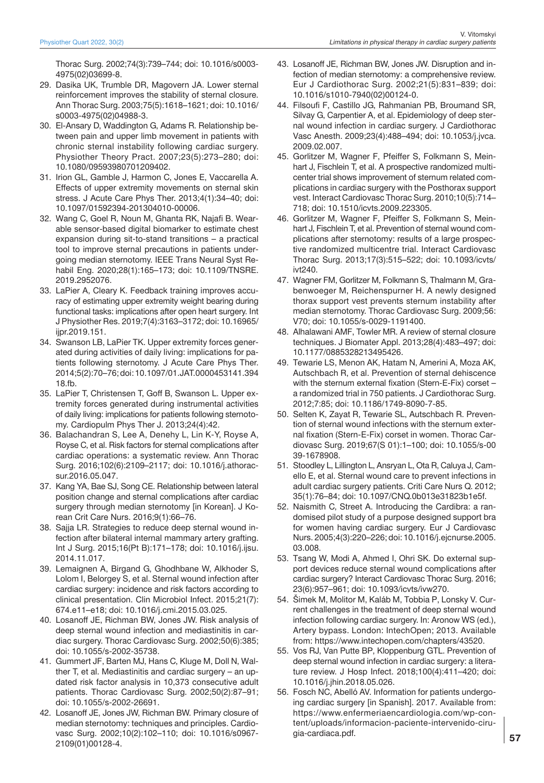Thorac Surg. 2002;74(3):739–744; doi: 10.1016/s0003- 4975(02)03699-8.

- 29. Dasika UK, Trumble DR, Magovern JA. Lower sternal reinforcement improves the stability of sternal closure. Ann Thorac Surg. 2003;75(5):1618–1621; doi: 10.1016/ s0003-4975(02)04988-3.
- 30. El-Ansary D, Waddington G, Adams R. Relationship between pain and upper limb movement in patients with chronic sternal instability following cardiac surgery. Physiother Theory Pract. 2007;23(5):273–280; doi: 10.1080/09593980701209402.
- 31. Irion GL, Gamble J, Harmon C, Jones E, Vaccarella A. Effects of upper extremity movements on sternal skin stress. J Acute Care Phys Ther. 2013;4(1):34–40; doi: 10.1097/01592394-201304010-00006.
- 32. Wang C, Goel R, Noun M, Ghanta RK, Najafi B. Wearable sensor-based digital biomarker to estimate chest expansion during sit-to-stand transitions – a practical tool to improve sternal precautions in patients undergoing median sternotomy. IEEE Trans Neural Syst Rehabil Eng. 2020;28(1):165–173; doi: 10.1109/TNSRE. 2019.2952076.
- 33. LaPier A, Cleary K. Feedback training improves accuracy of estimating upper extremity weight bearing during functional tasks: implications after open heart surgery. Int J Physiother Res. 2019;7(4):3163–3172; doi: 10.16965/ ijpr.2019.151.
- 34. Swanson LB, LaPier TK. Upper extremity forces generated during activities of daily living: implications for patients following sternotomy. J Acute Care Phys Ther. 2014;5(2):70–76; doi: 10.1097/01.JAT.0000453141.394 18.fb.
- 35. LaPier T, Christensen T, Goff B, Swanson L. Upper extremity forces generated during instrumental activities of daily living: implications for patients following sternotomy. Cardiopulm Phys Ther J. 2013;24(4):42.
- 36. Balachandran S, Lee A, Denehy L, Lin K-Y, Royse A, Royse C, et al. Risk factors for sternal complications after cardiac operations: a systematic review. Ann Thorac Surg. 2016;102(6):2109–2117; doi: 10.1016/j.athoracsur.2016.05.047.
- 37. Kang YA, Bae SJ, Song CE. Relationship between lateral position change and sternal complications after cardiac surgery through median sternotomy [in Korean]. J Korean Crit Care Nurs. 2016;9(1):66–76.
- 38. Sajja LR. Strategies to reduce deep sternal wound infection after bilateral internal mammary artery grafting. Int J Surg. 2015;16(Pt B):171–178; doi: 10.1016/j.ijsu. 2014.11.017.
- 39. Lemaignen A, Birgand G, Ghodhbane W, Alkhoder S, Lolom I, Belorgey S, et al. Sternal wound infection after cardiac surgery: incidence and risk factors according to clinical presentation. Clin Microbiol Infect. 2015;21(7): 674.e11–e18; doi: 10.1016/j.cmi.2015.03.025.
- 40. Losanoff JE, Richman BW, Jones JW. Risk analysis of deep sternal wound infection and mediastinitis in cardiac surgery. Thorac Cardiovasc Surg. 2002;50(6):385; doi: 10.1055/s-2002-35738.
- 41. Gummert JF, Barten MJ, Hans C, Kluge M, Doll N, Walther T, et al. Mediastinitis and cardiac surgery – an updated risk factor analysis in 10,373 consecutive adult patients. Thorac Cardiovasc Surg. 2002;50(2):87–91; doi: 10.1055/s-2002-26691.
- 42. Losanoff JE, Jones JW, Richman BW. Primary closure of median sternotomy: techniques and principles. Cardiovasc Surg. 2002;10(2):102–110; doi: 10.1016/s0967- 2109(01)00128-4.
- 43. Losanoff JE, Richman BW, Jones JW. Disruption and infection of median sternotomy: a comprehensive review. Eur J Cardiothorac Surg. 2002;21(5):831–839; doi: 10.1016/s1010-7940(02)00124-0.
- 44. Filsoufi F, Castillo JG, Rahmanian PB, Broumand SR, Silvay G, Carpentier A, et al. Epidemiology of deep sternal wound infection in cardiac surgery. J Cardiothorac Vasc Anesth. 2009;23(4):488–494; doi: 10.1053/j.jvca. 2009.02.007.
- 45. Gorlitzer M, Wagner F, Pfeiffer S, Folkmann S, Meinhart J, Fischlein T, et al. A prospective randomized multicenter trial shows improvement of sternum related complications in cardiac surgery with the Posthorax support vest. Interact Cardiovasc Thorac Surg. 2010;10(5):714– 718; doi: 10.1510/icvts.2009.223305.
- 46. Gorlitzer M, Wagner F, Pfeiffer S, Folkmann S, Meinhart J, Fischlein T, et al. Prevention of sternal wound complications after sternotomy: results of a large prospective randomized multicentre trial. Interact Cardiovasc Thorac Surg. 2013;17(3):515–522; doi: 10.1093/icvts/ ivt240.
- 47. Wagner FM, Gorlitzer M, Folkmann S, Thalmann M, Grabenwoeger M, Reichenspurner H. A newly designed thorax support vest prevents sternum instability after median sternotomy. Thorac Cardiovasc Surg. 2009;56: V70; doi: 10.1055/s-0029-1191400.
- 48. Alhalawani AMF, Towler MR. A review of sternal closure techniques. J Biomater Appl. 2013;28(4):483–497; doi: 10.1177/0885328213495426.
- 49. Tewarie LS, Menon AK, Hatam N, Amerini A, Moza AK, Autschbach R, et al. Prevention of sternal dehiscence with the sternum external fixation (Stern-E-Fix) corset – a randomized trial in 750 patients. J Cardiothorac Surg. 2012;7:85; doi: 10.1186/1749-8090-7-85.
- 50. Selten K, Zayat R, Tewarie SL, Autschbach R. Prevention of sternal wound infections with the sternum external fixation (Stern-E-Fix) corset in women. Thorac Cardiovasc Surg. 2019;67(S 01):1–100; doi: 10.1055/s-00 39-1678908.
- 51. Stoodley L, Lillington L, Ansryan L, Ota R, Caluya J, Camello E, et al. Sternal wound care to prevent infections in adult cardiac surgery patients. Criti Care Nurs Q. 2012; 35(1):76–84; doi: 10.1097/CNQ.0b013e31823b1e5f.
- 52. Naismith C, Street A. Introducing the Cardibra: a randomised pilot study of a purpose designed support bra for women having cardiac surgery. Eur J Cardiovasc Nurs. 2005;4(3):220–226; doi: 10.1016/j.ejcnurse.2005. 03.008.
- 53. Tsang W, Modi A, Ahmed I, Ohri SK. Do external support devices reduce sternal wound complications after cardiac surgery? Interact Cardiovasc Thorac Surg. 2016; 23(6):957–961; doi: 10.1093/icvts/ivw270.
- 54. Šimek M, Molitor M, Kaláb M, Tobbia P, Lonsky V. Current challenges in the treatment of deep sternal wound infection following cardiac surgery. In: Aronow WS (ed.), Artery bypass. London: IntechOpen; 2013. Available from: https://www.intechopen.com/chapters/43520.
- 55. Vos RJ, Van Putte BP, Kloppenburg GTL. Prevention of deep sternal wound infection in cardiac surgery: a literature review. J Hosp Infect. 2018;100(4):411–420; doi: 10.1016/j.jhin.2018.05.026.
- 56. Fosch NC, Abelló AV. Information for patients undergoing cardiac surgery [in Spanish]. 2017. Available from: https://www.enfermeriaencardiologia.com/wp-content/uploads/informacion-paciente-intervenido-cirugia-cardiaca.pdf.